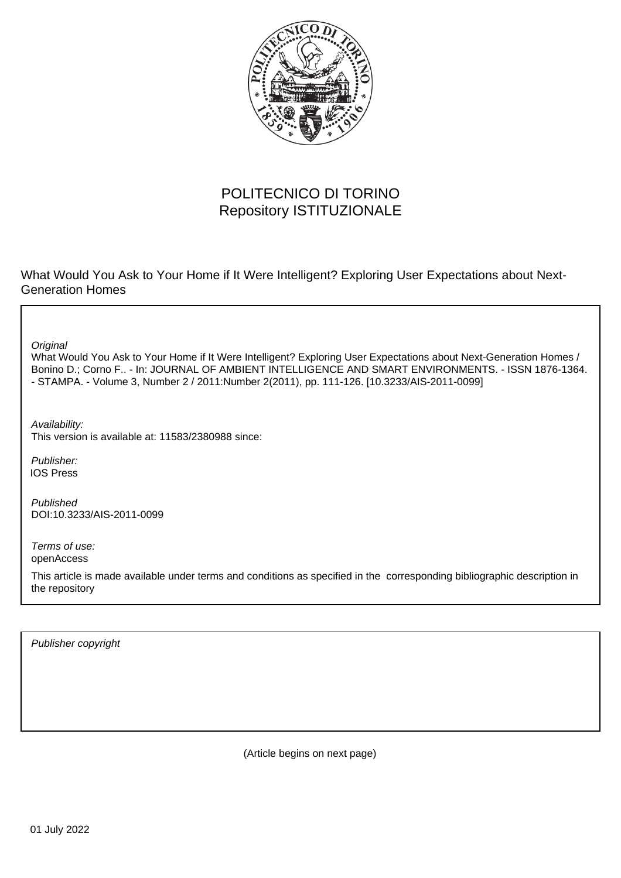

# POLITECNICO DI TORINO Repository ISTITUZIONALE

What Would You Ask to Your Home if It Were Intelligent? Exploring User Expectations about Next-Generation Homes

**Original** 

What Would You Ask to Your Home if It Were Intelligent? Exploring User Expectations about Next-Generation Homes / Bonino D.; Corno F.. - In: JOURNAL OF AMBIENT INTELLIGENCE AND SMART ENVIRONMENTS. - ISSN 1876-1364. - STAMPA. - Volume 3, Number 2 / 2011:Number 2(2011), pp. 111-126. [10.3233/AIS-2011-0099]

Availability: This version is available at: 11583/2380988 since:

Publisher: IOS Press

Published DOI:10.3233/AIS-2011-0099

Terms of use: openAccess

This article is made available under terms and conditions as specified in the corresponding bibliographic description in the repository

Publisher copyright

(Article begins on next page)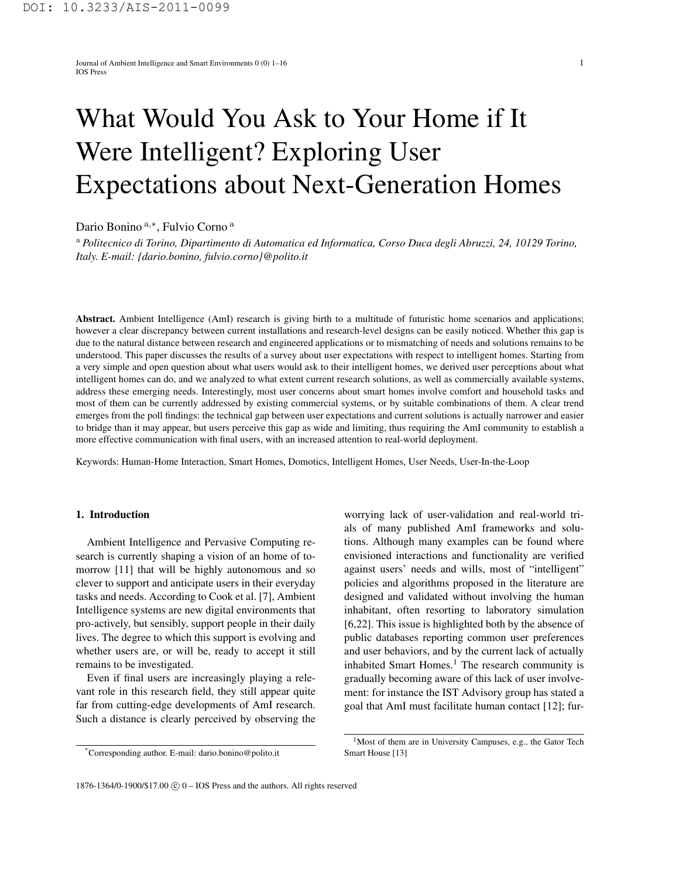Journal of Ambient Intelligence and Smart Environments 0 (0) 1–16 1 IOS Press

# What Would You Ask to Your Home if It Were Intelligent? Exploring User Expectations about Next-Generation Homes

Dario Bonino <sup>a</sup>*,<sup>∗</sup>* , Fulvio Corno <sup>a</sup>

<sup>a</sup> *Politecnico di Torino, Dipartimento di Automatica ed Informatica, Corso Duca degli Abruzzi, 24, 10129 Torino, Italy. E-mail: {dario.bonino, fulvio.corno}@polito.it*

Abstract. Ambient Intelligence (AmI) research is giving birth to a multitude of futuristic home scenarios and applications; however a clear discrepancy between current installations and research-level designs can be easily noticed. Whether this gap is due to the natural distance between research and engineered applications or to mismatching of needs and solutions remains to be understood. This paper discusses the results of a survey about user expectations with respect to intelligent homes. Starting from a very simple and open question about what users would ask to their intelligent homes, we derived user perceptions about what intelligent homes can do, and we analyzed to what extent current research solutions, as well as commercially available systems, address these emerging needs. Interestingly, most user concerns about smart homes involve comfort and household tasks and most of them can be currently addressed by existing commercial systems, or by suitable combinations of them. A clear trend emerges from the poll findings: the technical gap between user expectations and current solutions is actually narrower and easier to bridge than it may appear, but users perceive this gap as wide and limiting, thus requiring the AmI community to establish a more effective communication with final users, with an increased attention to real-world deployment.

Keywords: Human-Home Interaction, Smart Homes, Domotics, Intelligent Homes, User Needs, User-In-the-Loop

#### 1. Introduction

Ambient Intelligence and Pervasive Computing research is currently shaping a vision of an home of tomorrow [11] that will be highly autonomous and so clever to support and anticipate users in their everyday tasks and needs. According to Cook et al. [7], Ambient Intelligence systems are new digital environments that pro-actively, but sensibly, support people in their daily lives. The degree to which this support is evolving and whether users are, or will be, ready to accept it still remains to be investigated.

Even if final users are increasingly playing a relevant role in this research field, they still appear quite far from cutting-edge developments of AmI research. Such a distance is clearly perceived by observing the

\*Corresponding author. E-mail: dario.bonino@polito.it

worrying lack of user-validation and real-world trials of many published AmI frameworks and solutions. Although many examples can be found where envisioned interactions and functionality are verified against users' needs and wills, most of "intelligent" policies and algorithms proposed in the literature are designed and validated without involving the human inhabitant, often resorting to laboratory simulation [6,22]. This issue is highlighted both by the absence of public databases reporting common user preferences and user behaviors, and by the current lack of actually inhabited Smart Homes.<sup>1</sup> The research community is gradually becoming aware of this lack of user involvement: for instance the IST Advisory group has stated a goal that AmI must facilitate human contact [12]; fur-

<sup>&</sup>lt;sup>1</sup>Most of them are in University Campuses, e.g., the Gator Tech Smart House [13]

<sup>1876-1364/0-1900/\$17.00</sup>  $\circled{c}$  0 – IOS Press and the authors. All rights reserved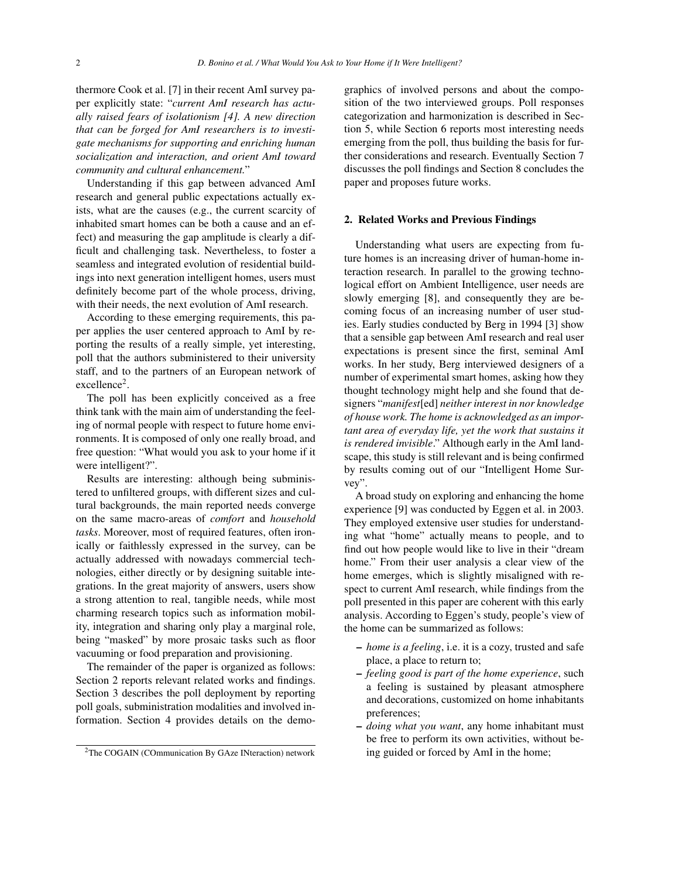thermore Cook et al. [7] in their recent AmI survey paper explicitly state: "*current AmI research has actually raised fears of isolationism [4]. A new direction that can be forged for AmI researchers is to investigate mechanisms for supporting and enriching human socialization and interaction, and orient AmI toward community and cultural enhancement.*"

Understanding if this gap between advanced AmI research and general public expectations actually exists, what are the causes (e.g., the current scarcity of inhabited smart homes can be both a cause and an effect) and measuring the gap amplitude is clearly a difficult and challenging task. Nevertheless, to foster a seamless and integrated evolution of residential buildings into next generation intelligent homes, users must definitely become part of the whole process, driving, with their needs, the next evolution of AmI research.

According to these emerging requirements, this paper applies the user centered approach to AmI by reporting the results of a really simple, yet interesting, poll that the authors subministered to their university staff, and to the partners of an European network of excellence<sup>2</sup>.

The poll has been explicitly conceived as a free think tank with the main aim of understanding the feeling of normal people with respect to future home environments. It is composed of only one really broad, and free question: "What would you ask to your home if it were intelligent?".

Results are interesting: although being subministered to unfiltered groups, with different sizes and cultural backgrounds, the main reported needs converge on the same macro-areas of *comfort* and *household tasks*. Moreover, most of required features, often ironically or faithlessly expressed in the survey, can be actually addressed with nowadays commercial technologies, either directly or by designing suitable integrations. In the great majority of answers, users show a strong attention to real, tangible needs, while most charming research topics such as information mobility, integration and sharing only play a marginal role, being "masked" by more prosaic tasks such as floor vacuuming or food preparation and provisioning.

The remainder of the paper is organized as follows: Section 2 reports relevant related works and findings. Section 3 describes the poll deployment by reporting poll goals, subministration modalities and involved information. Section 4 provides details on the demographics of involved persons and about the composition of the two interviewed groups. Poll responses categorization and harmonization is described in Section 5, while Section 6 reports most interesting needs emerging from the poll, thus building the basis for further considerations and research. Eventually Section 7 discusses the poll findings and Section 8 concludes the paper and proposes future works.

#### 2. Related Works and Previous Findings

Understanding what users are expecting from future homes is an increasing driver of human-home interaction research. In parallel to the growing technological effort on Ambient Intelligence, user needs are slowly emerging [8], and consequently they are becoming focus of an increasing number of user studies. Early studies conducted by Berg in 1994 [3] show that a sensible gap between AmI research and real user expectations is present since the first, seminal AmI works. In her study, Berg interviewed designers of a number of experimental smart homes, asking how they thought technology might help and she found that designers "*manifest*[ed] *neither interest in nor knowledge of house work. The home is acknowledged as an important area of everyday life, yet the work that sustains it is rendered invisible*." Although early in the AmI landscape, this study is still relevant and is being confirmed by results coming out of our "Intelligent Home Survey".

A broad study on exploring and enhancing the home experience [9] was conducted by Eggen et al. in 2003. They employed extensive user studies for understanding what "home" actually means to people, and to find out how people would like to live in their "dream home." From their user analysis a clear view of the home emerges, which is slightly misaligned with respect to current AmI research, while findings from the poll presented in this paper are coherent with this early analysis. According to Eggen's study, people's view of the home can be summarized as follows:

- *home is a feeling*, i.e. it is a cozy, trusted and safe place, a place to return to;
- *feeling good is part of the home experience*, such a feeling is sustained by pleasant atmosphere and decorations, customized on home inhabitants preferences;
- *doing what you want*, any home inhabitant must be free to perform its own activities, without being guided or forced by AmI in the home;

<sup>2</sup>The COGAIN (COmmunication By GAze INteraction) network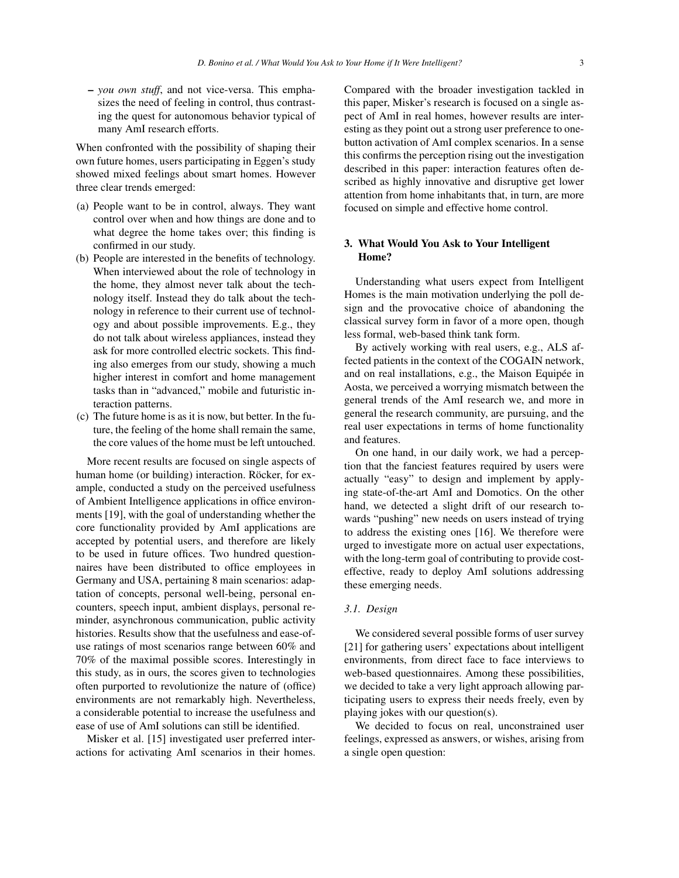– *you own stuff*, and not vice-versa. This emphasizes the need of feeling in control, thus contrasting the quest for autonomous behavior typical of many AmI research efforts.

When confronted with the possibility of shaping their own future homes, users participating in Eggen's study showed mixed feelings about smart homes. However three clear trends emerged:

- (a) People want to be in control, always. They want control over when and how things are done and to what degree the home takes over; this finding is confirmed in our study.
- (b) People are interested in the benefits of technology. When interviewed about the role of technology in the home, they almost never talk about the technology itself. Instead they do talk about the technology in reference to their current use of technology and about possible improvements. E.g., they do not talk about wireless appliances, instead they ask for more controlled electric sockets. This finding also emerges from our study, showing a much higher interest in comfort and home management tasks than in "advanced," mobile and futuristic interaction patterns.
- (c) The future home is as it is now, but better. In the future, the feeling of the home shall remain the same, the core values of the home must be left untouched.

More recent results are focused on single aspects of human home (or building) interaction. Röcker, for example, conducted a study on the perceived usefulness of Ambient Intelligence applications in office environments [19], with the goal of understanding whether the core functionality provided by AmI applications are accepted by potential users, and therefore are likely to be used in future offices. Two hundred questionnaires have been distributed to office employees in Germany and USA, pertaining 8 main scenarios: adaptation of concepts, personal well-being, personal encounters, speech input, ambient displays, personal reminder, asynchronous communication, public activity histories. Results show that the usefulness and ease-ofuse ratings of most scenarios range between 60% and 70% of the maximal possible scores. Interestingly in this study, as in ours, the scores given to technologies often purported to revolutionize the nature of (office) environments are not remarkably high. Nevertheless, a considerable potential to increase the usefulness and ease of use of AmI solutions can still be identified.

Misker et al. [15] investigated user preferred interactions for activating AmI scenarios in their homes. Compared with the broader investigation tackled in this paper, Misker's research is focused on a single aspect of AmI in real homes, however results are interesting as they point out a strong user preference to onebutton activation of AmI complex scenarios. In a sense this confirms the perception rising out the investigation described in this paper: interaction features often described as highly innovative and disruptive get lower attention from home inhabitants that, in turn, are more focused on simple and effective home control.

#### 3. What Would You Ask to Your Intelligent Home?

Understanding what users expect from Intelligent Homes is the main motivation underlying the poll design and the provocative choice of abandoning the classical survey form in favor of a more open, though less formal, web-based think tank form.

By actively working with real users, e.g., ALS affected patients in the context of the COGAIN network, and on real installations, e.g., the Maison Equipée in Aosta, we perceived a worrying mismatch between the general trends of the AmI research we, and more in general the research community, are pursuing, and the real user expectations in terms of home functionality and features.

On one hand, in our daily work, we had a perception that the fanciest features required by users were actually "easy" to design and implement by applying state-of-the-art AmI and Domotics. On the other hand, we detected a slight drift of our research towards "pushing" new needs on users instead of trying to address the existing ones [16]. We therefore were urged to investigate more on actual user expectations, with the long-term goal of contributing to provide costeffective, ready to deploy AmI solutions addressing these emerging needs.

#### *3.1. Design*

We considered several possible forms of user survey [21] for gathering users' expectations about intelligent environments, from direct face to face interviews to web-based questionnaires. Among these possibilities, we decided to take a very light approach allowing participating users to express their needs freely, even by playing jokes with our question(s).

We decided to focus on real, unconstrained user feelings, expressed as answers, or wishes, arising from a single open question: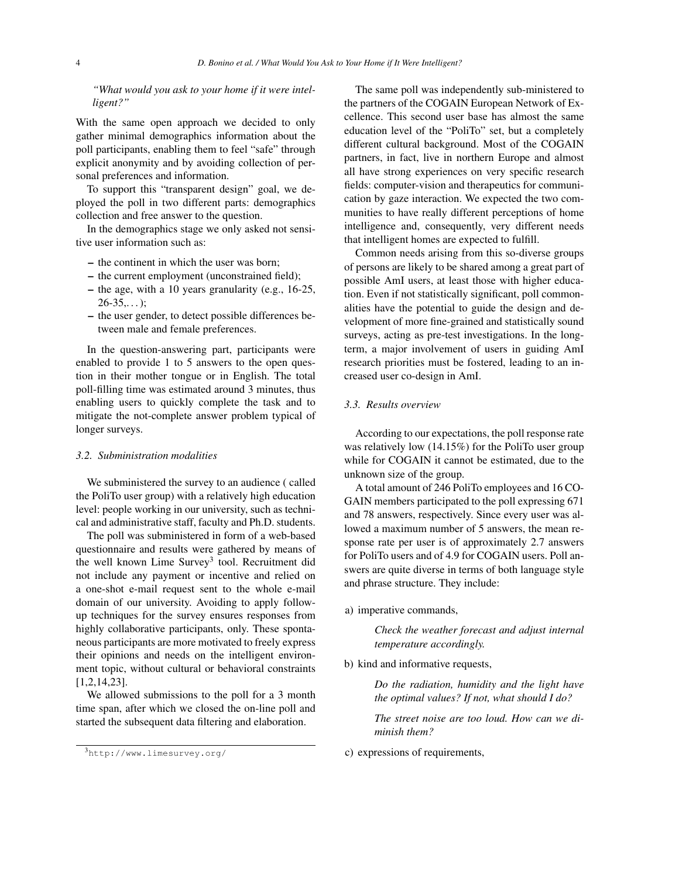*"What would you ask to your home if it were intelligent?"*

With the same open approach we decided to only gather minimal demographics information about the poll participants, enabling them to feel "safe" through explicit anonymity and by avoiding collection of personal preferences and information.

To support this "transparent design" goal, we deployed the poll in two different parts: demographics collection and free answer to the question.

In the demographics stage we only asked not sensitive user information such as:

- the continent in which the user was born;
- the current employment (unconstrained field);
- the age, with a 10 years granularity (e.g., 16-25,  $26 - 35...$ :
- the user gender, to detect possible differences between male and female preferences.

In the question-answering part, participants were enabled to provide 1 to 5 answers to the open question in their mother tongue or in English. The total poll-filling time was estimated around 3 minutes, thus enabling users to quickly complete the task and to mitigate the not-complete answer problem typical of longer surveys.

#### *3.2. Subministration modalities*

We subministered the survey to an audience ( called the PoliTo user group) with a relatively high education level: people working in our university, such as technical and administrative staff, faculty and Ph.D. students.

The poll was subministered in form of a web-based questionnaire and results were gathered by means of the well known Lime Survey<sup>3</sup> tool. Recruitment did not include any payment or incentive and relied on a one-shot e-mail request sent to the whole e-mail domain of our university. Avoiding to apply followup techniques for the survey ensures responses from highly collaborative participants, only. These spontaneous participants are more motivated to freely express their opinions and needs on the intelligent environment topic, without cultural or behavioral constraints [1,2,14,23].

We allowed submissions to the poll for a 3 month time span, after which we closed the on-line poll and started the subsequent data filtering and elaboration.

The same poll was independently sub-ministered to the partners of the COGAIN European Network of Excellence. This second user base has almost the same education level of the "PoliTo" set, but a completely different cultural background. Most of the COGAIN partners, in fact, live in northern Europe and almost all have strong experiences on very specific research fields: computer-vision and therapeutics for communication by gaze interaction. We expected the two communities to have really different perceptions of home intelligence and, consequently, very different needs that intelligent homes are expected to fulfill.

Common needs arising from this so-diverse groups of persons are likely to be shared among a great part of possible AmI users, at least those with higher education. Even if not statistically significant, poll commonalities have the potential to guide the design and development of more fine-grained and statistically sound surveys, acting as pre-test investigations. In the longterm, a major involvement of users in guiding AmI research priorities must be fostered, leading to an increased user co-design in AmI.

### *3.3. Results overview*

According to our expectations, the poll response rate was relatively low (14.15%) for the PoliTo user group while for COGAIN it cannot be estimated, due to the unknown size of the group.

A total amount of 246 PoliTo employees and 16 CO-GAIN members participated to the poll expressing 671 and 78 answers, respectively. Since every user was allowed a maximum number of 5 answers, the mean response rate per user is of approximately 2.7 answers for PoliTo users and of 4.9 for COGAIN users. Poll answers are quite diverse in terms of both language style and phrase structure. They include:

a) imperative commands,

*Check the weather forecast and adjust internal temperature accordingly.*

b) kind and informative requests,

*Do the radiation, humidity and the light have the optimal values? If not, what should I do?*

*The street noise are too loud. How can we diminish them?*

c) expressions of requirements,

<sup>3</sup>http://www.limesurvey.org/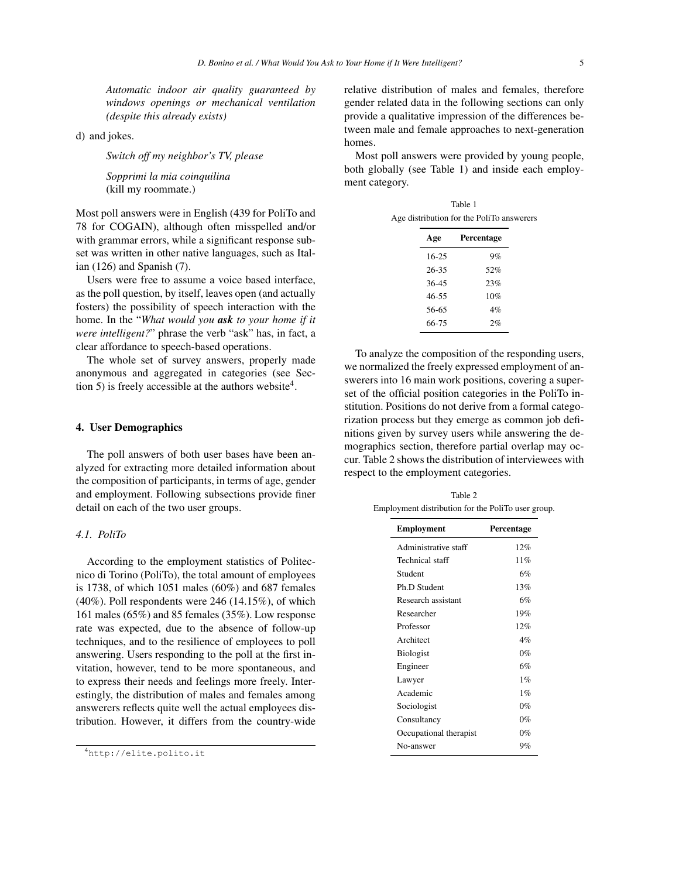*Automatic indoor air quality guaranteed by windows openings or mechanical ventilation (despite this already exists)*

d) and jokes.

*Switch off my neighbor's TV, please*

*Sopprimi la mia coinquilina* (kill my roommate.)

Most poll answers were in English (439 for PoliTo and 78 for COGAIN), although often misspelled and/or with grammar errors, while a significant response subset was written in other native languages, such as Italian (126) and Spanish (7).

Users were free to assume a voice based interface, as the poll question, by itself, leaves open (and actually fosters) the possibility of speech interaction with the home. In the "*What would you ask to your home if it were intelligent?*" phrase the verb "ask" has, in fact, a clear affordance to speech-based operations.

The whole set of survey answers, properly made anonymous and aggregated in categories (see Section 5) is freely accessible at the authors website<sup>4</sup>.

#### 4. User Demographics

The poll answers of both user bases have been analyzed for extracting more detailed information about the composition of participants, in terms of age, gender and employment. Following subsections provide finer detail on each of the two user groups.

#### *4.1. PoliTo*

According to the employment statistics of Politecnico di Torino (PoliTo), the total amount of employees is 1738, of which 1051 males (60%) and 687 females  $(40\%)$ . Poll respondents were 246  $(14.15\%)$ , of which 161 males (65%) and 85 females (35%). Low response rate was expected, due to the absence of follow-up techniques, and to the resilience of employees to poll answering. Users responding to the poll at the first invitation, however, tend to be more spontaneous, and to express their needs and feelings more freely. Interestingly, the distribution of males and females among answerers reflects quite well the actual employees distribution. However, it differs from the country-wide relative distribution of males and females, therefore gender related data in the following sections can only provide a qualitative impression of the differences between male and female approaches to next-generation homes.

Most poll answers were provided by young people, both globally (see Table 1) and inside each employment category.

Table 1 Age distribution for the PoliTo answerers

| Age       | Percentage |
|-----------|------------|
| $16 - 25$ | 9%         |
| 26-35     | 52%        |
| $36 - 45$ | 23%        |
| 46-55     | 10%        |
| 56-65     | 4%         |
| 66-75     | 2%         |

To analyze the composition of the responding users, we normalized the freely expressed employment of answerers into 16 main work positions, covering a superset of the official position categories in the PoliTo institution. Positions do not derive from a formal categorization process but they emerge as common job definitions given by survey users while answering the demographics section, therefore partial overlap may occur. Table 2 shows the distribution of interviewees with respect to the employment categories.

Table 2 Employment distribution for the PoliTo user group.

| <b>Employment</b>      | Percentage |
|------------------------|------------|
| Administrative staff   | 12%        |
| Technical staff        | 11%        |
| Student                | 6%         |
| Ph.D. Student          | 13%        |
| Research assistant     | 6%         |
| Researcher             | 19%        |
| Professor              | 12%        |
| Architect              | 4%         |
| <b>Biologist</b>       | $0\%$      |
| Engineer               | 6%         |
| Lawyer                 | 1%         |
| Academic               | $1\%$      |
| Sociologist            | $0\%$      |
| Consultancy            | $0\%$      |
| Occupational therapist | $0\%$      |
| No-answer              | 9%         |

<sup>4</sup>http://elite.polito.it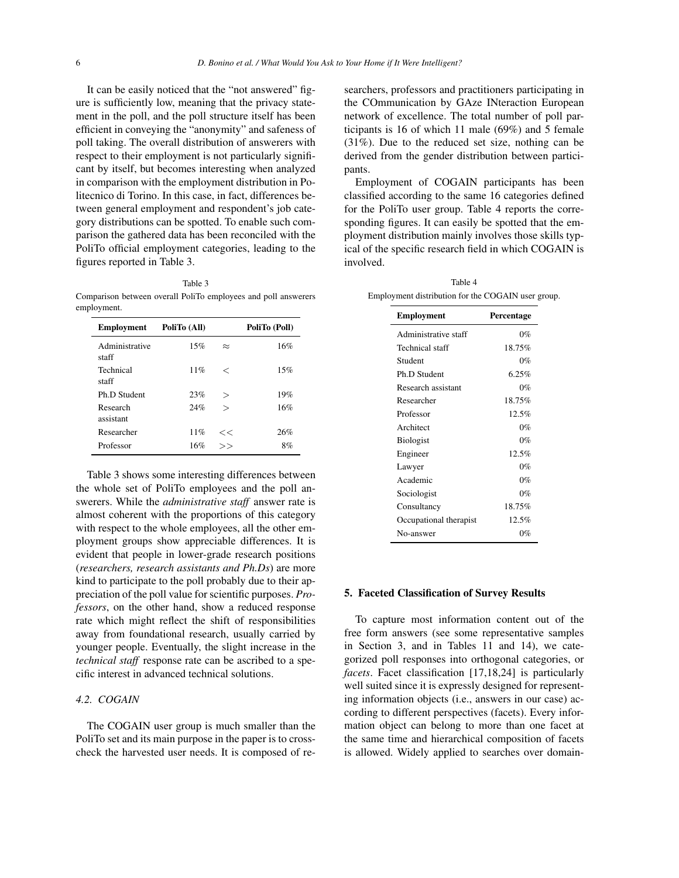It can be easily noticed that the "not answered" figure is sufficiently low, meaning that the privacy statement in the poll, and the poll structure itself has been efficient in conveying the "anonymity" and safeness of poll taking. The overall distribution of answerers with respect to their employment is not particularly significant by itself, but becomes interesting when analyzed in comparison with the employment distribution in Politecnico di Torino. In this case, in fact, differences between general employment and respondent's job category distributions can be spotted. To enable such comparison the gathered data has been reconciled with the PoliTo official employment categories, leading to the figures reported in Table 3.

#### Table 3

Comparison between overall PoliTo employees and poll answerers employment.

| <b>Employment</b>       | PoliTo (All) |           | PoliTo (Poll) |
|-------------------------|--------------|-----------|---------------|
| Administrative<br>staff | 15%          | $\approx$ | 16%           |
| Technical<br>staff      | 11%          | ✓         | 15%           |
| Ph.D. Student           | 23%          | $\rm{>}$  | 19%           |
| Research<br>assistant   | 24%          | $\gt$     | 16%           |
| Researcher              | 11%          | <<        | 26%           |
| Professor               | 16%          | $\gt$     | 8%            |

Table 3 shows some interesting differences between the whole set of PoliTo employees and the poll answerers. While the *administrative staff* answer rate is almost coherent with the proportions of this category with respect to the whole employees, all the other employment groups show appreciable differences. It is evident that people in lower-grade research positions (*researchers, research assistants and Ph.Ds*) are more kind to participate to the poll probably due to their appreciation of the poll value for scientific purposes. *Professors*, on the other hand, show a reduced response rate which might reflect the shift of responsibilities away from foundational research, usually carried by younger people. Eventually, the slight increase in the *technical staff* response rate can be ascribed to a specific interest in advanced technical solutions.

#### *4.2. COGAIN*

The COGAIN user group is much smaller than the PoliTo set and its main purpose in the paper is to crosscheck the harvested user needs. It is composed of researchers, professors and practitioners participating in the COmmunication by GAze INteraction European network of excellence. The total number of poll participants is 16 of which 11 male (69%) and 5 female (31%). Due to the reduced set size, nothing can be derived from the gender distribution between participants.

Employment of COGAIN participants has been classified according to the same 16 categories defined for the PoliTo user group. Table 4 reports the corresponding figures. It can easily be spotted that the employment distribution mainly involves those skills typical of the specific research field in which COGAIN is involved.

| Table 4                                            |  |
|----------------------------------------------------|--|
| Employment distribution for the COGAIN user group. |  |

| <b>Employment</b>      | Percentage |
|------------------------|------------|
| Administrative staff   | $0\%$      |
| Technical staff        | 18.75%     |
| Student                | $0\%$      |
| Ph.D Student           | 6.25%      |
| Research assistant     | $0\%$      |
| Researcher             | 18.75%     |
| Professor              | 12.5%      |
| Architect              | $0\%$      |
| <b>Biologist</b>       | $0\%$      |
| Engineer               | 12.5%      |
| Lawyer                 | $0\%$      |
| Academic               | $0\%$      |
| Sociologist            | $0\%$      |
| Consultancy            | 18.75%     |
| Occupational therapist | 12.5%      |
| No-answer              | 0%         |

#### 5. Faceted Classification of Survey Results

To capture most information content out of the free form answers (see some representative samples in Section 3, and in Tables 11 and 14), we categorized poll responses into orthogonal categories, or *facets*. Facet classification [17,18,24] is particularly well suited since it is expressly designed for representing information objects (i.e., answers in our case) according to different perspectives (facets). Every information object can belong to more than one facet at the same time and hierarchical composition of facets is allowed. Widely applied to searches over domain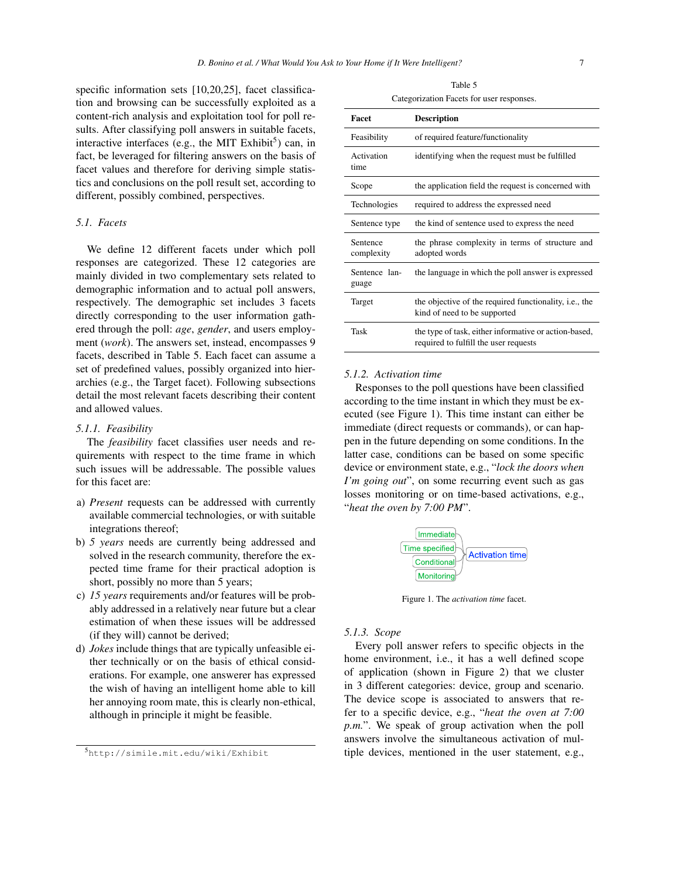specific information sets [10,20,25], facet classification and browsing can be successfully exploited as a content-rich analysis and exploitation tool for poll results. After classifying poll answers in suitable facets, interactive interfaces (e.g., the MIT Exhibit<sup>5</sup>) can, in fact, be leveraged for filtering answers on the basis of facet values and therefore for deriving simple statistics and conclusions on the poll result set, according to different, possibly combined, perspectives.

#### *5.1. Facets*

We define 12 different facets under which poll responses are categorized. These 12 categories are mainly divided in two complementary sets related to demographic information and to actual poll answers, respectively. The demographic set includes 3 facets directly corresponding to the user information gathered through the poll: *age*, *gender*, and users employment (*work*). The answers set, instead, encompasses 9 facets, described in Table 5. Each facet can assume a set of predefined values, possibly organized into hierarchies (e.g., the Target facet). Following subsections detail the most relevant facets describing their content and allowed values.

#### *5.1.1. Feasibility*

The *feasibility* facet classifies user needs and requirements with respect to the time frame in which such issues will be addressable. The possible values for this facet are:

- a) *Present* requests can be addressed with currently available commercial technologies, or with suitable integrations thereof;
- b) *5 years* needs are currently being addressed and solved in the research community, therefore the expected time frame for their practical adoption is short, possibly no more than 5 years;
- c) *15 years* requirements and/or features will be probably addressed in a relatively near future but a clear estimation of when these issues will be addressed (if they will) cannot be derived;
- d) *Jokes* include things that are typically unfeasible either technically or on the basis of ethical considerations. For example, one answerer has expressed the wish of having an intelligent home able to kill her annoying room mate, this is clearly non-ethical, although in principle it might be feasible.

Table 5 Categorization Facets for user responses.

| Facet                  | <b>Description</b>                                                                             |
|------------------------|------------------------------------------------------------------------------------------------|
| Feasibility            | of required feature/functionality                                                              |
| Activation<br>time     | identifying when the request must be fulfilled                                                 |
| Scope                  | the application field the request is concerned with                                            |
| Technologies           | required to address the expressed need                                                         |
| Sentence type          | the kind of sentence used to express the need                                                  |
| Sentence<br>complexity | the phrase complexity in terms of structure and<br>adopted words                               |
| Sentence lan-<br>guage | the language in which the poll answer is expressed                                             |
| Target                 | the objective of the required functionality, <i>i.e.</i> , the<br>kind of need to be supported |
| Task                   | the type of task, either informative or action-based,<br>required to fulfill the user requests |

#### *5.1.2. Activation time*

Responses to the poll questions have been classified according to the time instant in which they must be executed (see Figure 1). This time instant can either be immediate (direct requests or commands), or can happen in the future depending on some conditions. In the latter case, conditions can be based on some specific device or environment state, e.g., "*lock the doors when I'm going out*", on some recurring event such as gas losses monitoring or on time-based activations, e.g., "*heat the oven by 7:00 PM*".



Figure 1. The *activation time* facet.

#### *5.1.3. Scope*

Every poll answer refers to specific objects in the home environment, i.e., it has a well defined scope of application (shown in Figure 2) that we cluster in 3 different categories: device, group and scenario. The device scope is associated to answers that refer to a specific device, e.g., "*heat the oven at 7:00 p.m.*". We speak of group activation when the poll answers involve the simultaneous activation of multiple devices, mentioned in the user statement, e.g.,

<sup>5</sup>http://simile.mit.edu/wiki/Exhibit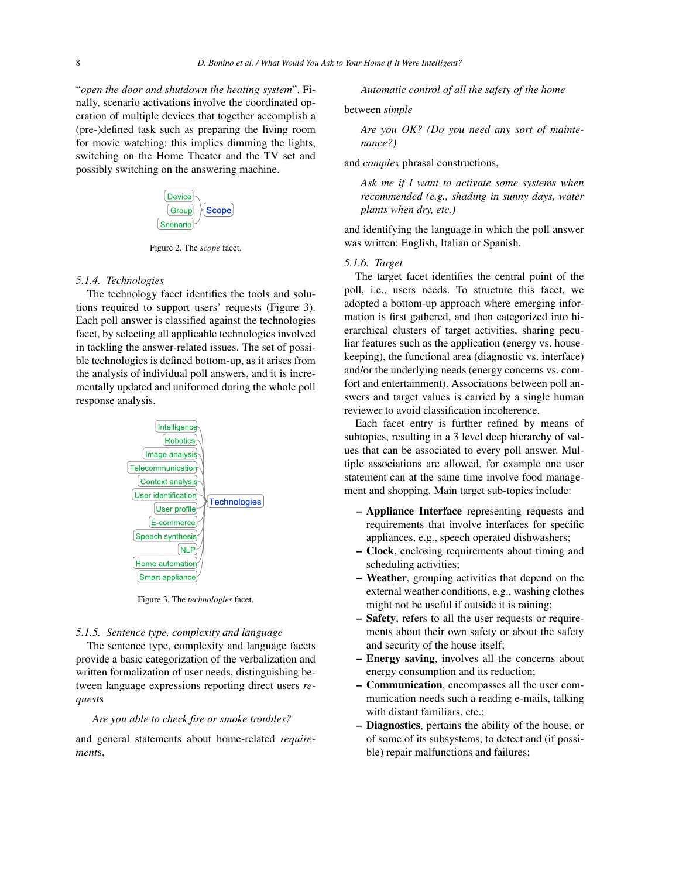"*open the door and shutdown the heating system*". Finally, scenario activations involve the coordinated operation of multiple devices that together accomplish a (pre-)defined task such as preparing the living room for movie watching: this implies dimming the lights, switching on the Home Theater and the TV set and possibly switching on the answering machine.



Figure 2. The *scope* facet.

#### *5.1.4. Technologies*

The technology facet identifies the tools and solutions required to support users' requests (Figure 3). Each poll answer is classified against the technologies facet, by selecting all applicable technologies involved in tackling the answer-related issues. The set of possible technologies is defined bottom-up, as it arises from the analysis of individual poll answers, and it is incrementally updated and uniformed during the whole poll response analysis.



Figure 3. The *technologies* facet.

#### *5.1.5. Sentence type, complexity and language*

The sentence type, complexity and language facets provide a basic categorization of the verbalization and written formalization of user needs, distinguishing between language expressions reporting direct users *request*s

#### *Are you able to check fire or smoke troubles?*

and general statements about home-related *requirement*s,

*Automatic control of all the safety of the home*

between *simple*

*Are you OK? (Do you need any sort of maintenance?)*

and *complex* phrasal constructions,

*Ask me if I want to activate some systems when recommended (e.g., shading in sunny days, water plants when dry, etc.)*

and identifying the language in which the poll answer was written: English, Italian or Spanish.

#### *5.1.6. Target*

The target facet identifies the central point of the poll, i.e., users needs. To structure this facet, we adopted a bottom-up approach where emerging information is first gathered, and then categorized into hierarchical clusters of target activities, sharing peculiar features such as the application (energy vs. housekeeping), the functional area (diagnostic vs. interface) and/or the underlying needs (energy concerns vs. comfort and entertainment). Associations between poll answers and target values is carried by a single human reviewer to avoid classification incoherence.

Each facet entry is further refined by means of subtopics, resulting in a 3 level deep hierarchy of values that can be associated to every poll answer. Multiple associations are allowed, for example one user statement can at the same time involve food management and shopping. Main target sub-topics include:

- Appliance Interface representing requests and requirements that involve interfaces for specific appliances, e.g., speech operated dishwashers;
- Clock, enclosing requirements about timing and scheduling activities;
- Weather, grouping activities that depend on the external weather conditions, e.g., washing clothes might not be useful if outside it is raining;
- Safety, refers to all the user requests or requirements about their own safety or about the safety and security of the house itself;
- Energy saving, involves all the concerns about energy consumption and its reduction;
- Communication, encompasses all the user communication needs such a reading e-mails, talking with distant familiars, etc.;
- Diagnostics, pertains the ability of the house, or of some of its subsystems, to detect and (if possible) repair malfunctions and failures;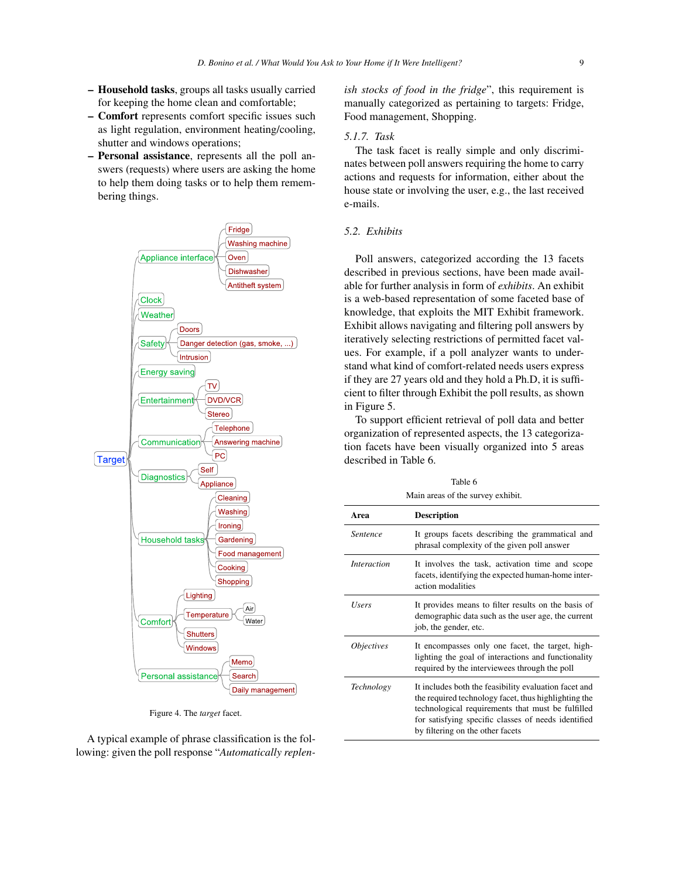- Household tasks, groups all tasks usually carried for keeping the home clean and comfortable;
- Comfort represents comfort specific issues such as light regulation, environment heating/cooling, shutter and windows operations;
- Personal assistance, represents all the poll answers (requests) where users are asking the home to help them doing tasks or to help them remembering things.



Figure 4. The *target* facet.

A typical example of phrase classification is the following: given the poll response "*Automatically replen-* *ish stocks of food in the fridge*", this requirement is manually categorized as pertaining to targets: Fridge, Food management, Shopping.

#### *5.1.7. Task*

The task facet is really simple and only discriminates between poll answers requiring the home to carry actions and requests for information, either about the house state or involving the user, e.g., the last received e-mails.

#### *5.2. Exhibits*

Poll answers, categorized according the 13 facets described in previous sections, have been made available for further analysis in form of *exhibits*. An exhibit is a web-based representation of some faceted base of knowledge, that exploits the MIT Exhibit framework. Exhibit allows navigating and filtering poll answers by iteratively selecting restrictions of permitted facet values. For example, if a poll analyzer wants to understand what kind of comfort-related needs users express if they are 27 years old and they hold a Ph.D, it is sufficient to filter through Exhibit the poll results, as shown in Figure 5.

To support efficient retrieval of poll data and better organization of represented aspects, the 13 categorization facets have been visually organized into 5 areas described in Table 6.

 $T = 100$ 

| Table 6<br>Main areas of the survey exhibit. |                                                                                                                                                                                                                                                               |  |
|----------------------------------------------|---------------------------------------------------------------------------------------------------------------------------------------------------------------------------------------------------------------------------------------------------------------|--|
| Area                                         | <b>Description</b>                                                                                                                                                                                                                                            |  |
| <i>Sentence</i>                              | It groups facets describing the grammatical and<br>phrasal complexity of the given poll answer                                                                                                                                                                |  |
| <i>Interaction</i>                           | It involves the task, activation time and scope<br>facets, identifying the expected human-home inter-<br>action modalities                                                                                                                                    |  |
| Users                                        | It provides means to filter results on the basis of<br>demographic data such as the user age, the current<br>job, the gender, etc.                                                                                                                            |  |
| <i><b>Objectives</b></i>                     | It encompasses only one facet, the target, high-<br>lighting the goal of interactions and functionality<br>required by the interviewees through the poll                                                                                                      |  |
| Technology                                   | It includes both the feasibility evaluation facet and<br>the required technology facet, thus highlighting the<br>technological requirements that must be fulfilled<br>for satisfying specific classes of needs identified<br>by filtering on the other facets |  |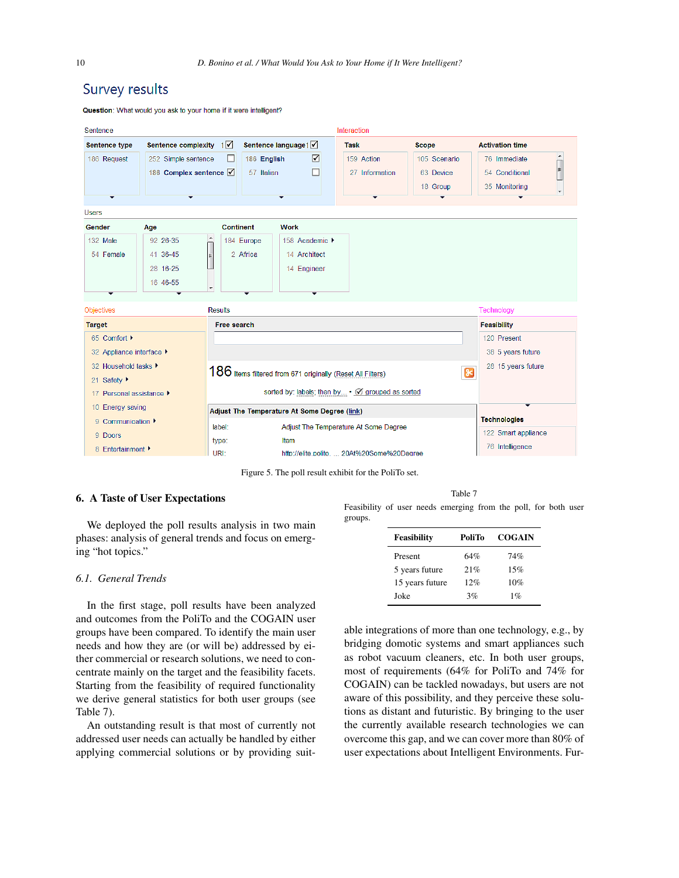## Survey results

Question: What would you ask to your home if it were intelligent?

| Sentence                                                                        |                                                                                  |                                                                             |                                                                                                              | Interaction                                      |                                                       |                                                                                                                            |
|---------------------------------------------------------------------------------|----------------------------------------------------------------------------------|-----------------------------------------------------------------------------|--------------------------------------------------------------------------------------------------------------|--------------------------------------------------|-------------------------------------------------------|----------------------------------------------------------------------------------------------------------------------------|
| Sentence type<br>186 Request                                                    | Sentence complexity $1\sqrt{ }$<br>252 Simple sentence<br>186 Complex sentence V | 186 English<br>ш<br>57 Italian                                              | Sentence language1<br>☑                                                                                      | <b>Task</b><br>159 Action<br>27 Information      | <b>Scope</b><br>105 Scenario<br>63 Device<br>18 Group | <b>Activation time</b><br>$\blacktriangle$<br>76 Immediate<br>E<br>54 Conditional<br>35 Monitoring<br>$\blacktriangledown$ |
| <b>Users</b>                                                                    |                                                                                  |                                                                             |                                                                                                              |                                                  |                                                       |                                                                                                                            |
| <b>Gender</b>                                                                   | Age                                                                              | <b>Continent</b>                                                            | <b>Work</b>                                                                                                  |                                                  |                                                       |                                                                                                                            |
| 132 Male<br>54 Female                                                           | 92 26-35<br>41 36-45<br>28 16-25<br>16 46-55                                     | $\blacktriangle$<br>184 Europe<br>2 Africa<br>E<br>$\overline{\phantom{a}}$ | 158 Academic ▶<br>14 Architect<br>14 Engineer                                                                |                                                  |                                                       |                                                                                                                            |
| <b>Objectives</b>                                                               |                                                                                  | <b>Results</b>                                                              |                                                                                                              |                                                  |                                                       | Technology                                                                                                                 |
| <b>Target</b>                                                                   |                                                                                  | Free search                                                                 |                                                                                                              |                                                  |                                                       | <b>Feasibility</b>                                                                                                         |
| 65 Comfort ▶<br>32 Appliance interface ▶<br>32 Household tasks ▶<br>21 Safety ▶ |                                                                                  | 186 Items filtered from 671 originally (Reset All Filters)                  |                                                                                                              |                                                  | $\infty$                                              | 120 Present<br>38 5 years future<br>28 15 years future                                                                     |
| 17 Personal assistance ▶                                                        |                                                                                  |                                                                             |                                                                                                              | sorted by: labels; then by • Ø grouped as sorted |                                                       |                                                                                                                            |
| 10 Energy saving<br>9 Communication $\blacktriangleright$                       |                                                                                  |                                                                             | Adjust The Temperature At Some Degree (link)                                                                 |                                                  |                                                       | <b>Technologies</b>                                                                                                        |
| 9 Doors<br>8 Enfertainment ▶                                                    |                                                                                  | type:<br>URI:                                                               | <b>Adjust The Temperature At Some Degree</b><br>label:<br>Item<br>http://elite.polito.  20At%20Some%20Degree |                                                  | 122 Smart appliance<br>76 Intelligence                |                                                                                                                            |

Figure 5. The poll result exhibit for the PoliTo set.

#### 6. A Taste of User Expectations

We deployed the poll results analysis in two main phases: analysis of general trends and focus on emerging "hot topics."

#### *6.1. General Trends*

In the first stage, poll results have been analyzed and outcomes from the PoliTo and the COGAIN user groups have been compared. To identify the main user needs and how they are (or will be) addressed by either commercial or research solutions, we need to concentrate mainly on the target and the feasibility facets. Starting from the feasibility of required functionality we derive general statistics for both user groups (see Table 7).

An outstanding result is that most of currently not addressed user needs can actually be handled by either applying commercial solutions or by providing suit-

Table 7 Feasibility of user needs emerging from the poll, for both user groups.

| <b>Feasibility</b> | PoliTo | <b>COGAIN</b> |
|--------------------|--------|---------------|
| Present            | 64%    | 74%           |
| 5 years future     | 21%    | 15%           |
| 15 years future    | 12%    | 10%           |
| Joke               | 3%     | $1\%$         |

able integrations of more than one technology, e.g., by bridging domotic systems and smart appliances such as robot vacuum cleaners, etc. In both user groups, most of requirements (64% for PoliTo and 74% for COGAIN) can be tackled nowadays, but users are not aware of this possibility, and they perceive these solutions as distant and futuristic. By bringing to the user the currently available research technologies we can overcome this gap, and we can cover more than 80% of user expectations about Intelligent Environments. Fur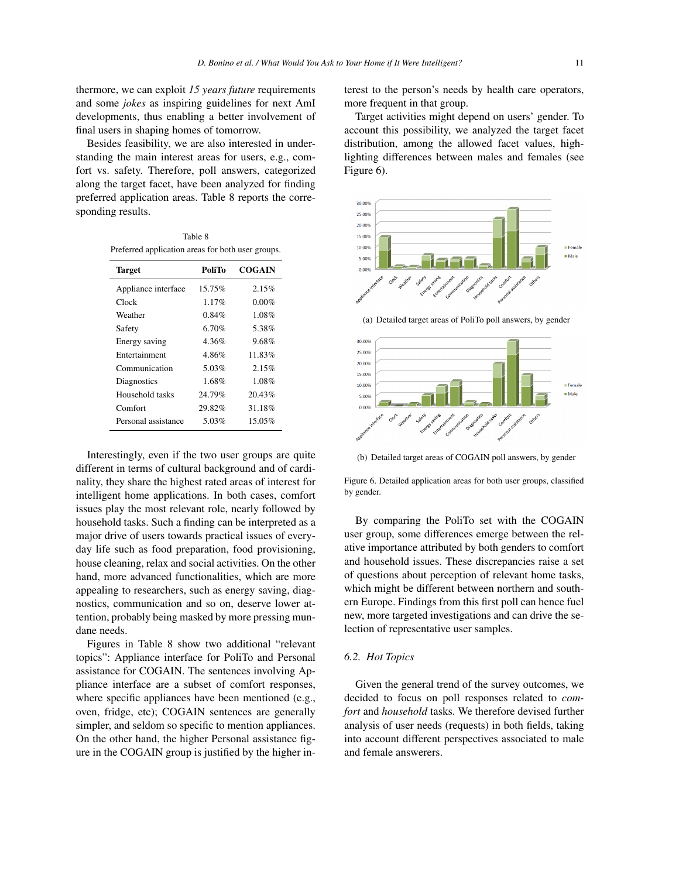thermore, we can exploit *15 years future* requirements and some *jokes* as inspiring guidelines for next AmI developments, thus enabling a better involvement of final users in shaping homes of tomorrow.

Besides feasibility, we are also interested in understanding the main interest areas for users, e.g., comfort vs. safety. Therefore, poll answers, categorized along the target facet, have been analyzed for finding preferred application areas. Table 8 reports the corresponding results.

Table 8 Preferred application areas for both user groups.

| <b>Target</b>       | PoliTo   | COGAIN   |
|---------------------|----------|----------|
| Appliance interface | 15.75%   | 2.15%    |
| Clock               | $1.17\%$ | $0.00\%$ |
| Weather             | 0.84%    | 1.08%    |
| Safety              | 6.70%    | 5.38%    |
| Energy saving       | 4.36%    | 9.68%    |
| Entertainment       | 486%     | 11.83%   |
| Communication       | 5.03%    | 2.15%    |
| Diagnostics         | 1.68%    | 1.08%    |
| Household tasks     | 24.79%   | 20.43%   |
| Comfort             | 29.82%   | 31.18%   |
| Personal assistance | 5.03%    | 15.05%   |

Interestingly, even if the two user groups are quite different in terms of cultural background and of cardinality, they share the highest rated areas of interest for intelligent home applications. In both cases, comfort issues play the most relevant role, nearly followed by household tasks. Such a finding can be interpreted as a major drive of users towards practical issues of everyday life such as food preparation, food provisioning, house cleaning, relax and social activities. On the other hand, more advanced functionalities, which are more appealing to researchers, such as energy saving, diagnostics, communication and so on, deserve lower attention, probably being masked by more pressing mundane needs.

Figures in Table 8 show two additional "relevant topics": Appliance interface for PoliTo and Personal assistance for COGAIN. The sentences involving Appliance interface are a subset of comfort responses, where specific appliances have been mentioned (e.g., oven, fridge, etc); COGAIN sentences are generally simpler, and seldom so specific to mention appliances. On the other hand, the higher Personal assistance figure in the COGAIN group is justified by the higher interest to the person's needs by health care operators, more frequent in that group.

Target activities might depend on users' gender. To account this possibility, we analyzed the target facet distribution, among the allowed facet values, highlighting differences between males and females (see Figure 6).



(a) Detailed target areas of PoliTo poll answers, by gender



(b) Detailed target areas of COGAIN poll answers, by gender

Figure 6. Detailed application areas for both user groups, classified by gender.

By comparing the PoliTo set with the COGAIN user group, some differences emerge between the relative importance attributed by both genders to comfort and household issues. These discrepancies raise a set of questions about perception of relevant home tasks, which might be different between northern and southern Europe. Findings from this first poll can hence fuel new, more targeted investigations and can drive the selection of representative user samples.

#### *6.2. Hot Topics*

Given the general trend of the survey outcomes, we decided to focus on poll responses related to *comfort* and *household* tasks. We therefore devised further analysis of user needs (requests) in both fields, taking into account different perspectives associated to male and female answerers.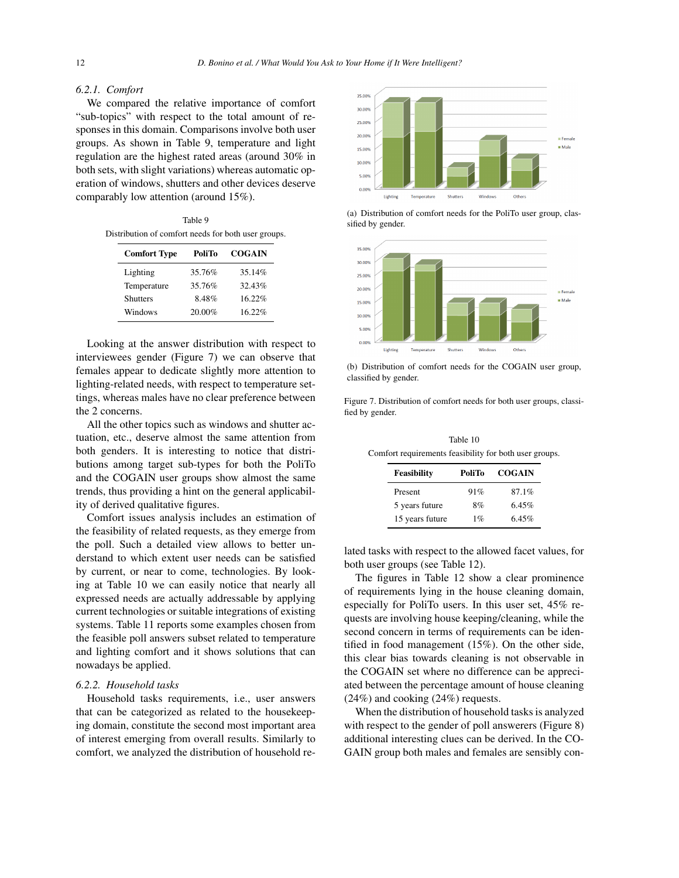#### *6.2.1. Comfort*

We compared the relative importance of comfort "sub-topics" with respect to the total amount of responses in this domain. Comparisons involve both user groups. As shown in Table 9, temperature and light regulation are the highest rated areas (around 30% in both sets, with slight variations) whereas automatic operation of windows, shutters and other devices deserve comparably low attention (around 15%).

Table 9 Distribution of comfort needs for both user groups.

| <b>Comfort Type</b> | PoliTo | <b>COGAIN</b> |
|---------------------|--------|---------------|
| Lighting            | 35.76% | 35.14%        |
| Temperature         | 35.76% | $32.43\%$     |
| <b>Shutters</b>     | 8.48%  | 16.22%        |
| Windows             | 20.00% | 16.22%        |

Looking at the answer distribution with respect to interviewees gender (Figure 7) we can observe that females appear to dedicate slightly more attention to lighting-related needs, with respect to temperature settings, whereas males have no clear preference between the 2 concerns.

All the other topics such as windows and shutter actuation, etc., deserve almost the same attention from both genders. It is interesting to notice that distributions among target sub-types for both the PoliTo and the COGAIN user groups show almost the same trends, thus providing a hint on the general applicability of derived qualitative figures.

Comfort issues analysis includes an estimation of the feasibility of related requests, as they emerge from the poll. Such a detailed view allows to better understand to which extent user needs can be satisfied by current, or near to come, technologies. By looking at Table 10 we can easily notice that nearly all expressed needs are actually addressable by applying current technologies or suitable integrations of existing systems. Table 11 reports some examples chosen from the feasible poll answers subset related to temperature and lighting comfort and it shows solutions that can nowadays be applied.

#### *6.2.2. Household tasks*

Household tasks requirements, i.e., user answers that can be categorized as related to the housekeeping domain, constitute the second most important area of interest emerging from overall results. Similarly to comfort, we analyzed the distribution of household re-



(a) Distribution of comfort needs for the PoliTo user group, classified by gender.



(b) Distribution of comfort needs for the COGAIN user group, classified by gender.

Figure 7. Distribution of comfort needs for both user groups, classified by gender.

Table 10 Comfort requirements feasibility for both user groups.

| <b>Feasibility</b> | PoliTo | <b>COGAIN</b> |
|--------------------|--------|---------------|
| Present            | 91%    | 87.1%         |
| 5 years future     | 8%     | 6.45%         |
| 15 years future    | $1\%$  | $6.45\%$      |

lated tasks with respect to the allowed facet values, for both user groups (see Table 12).

The figures in Table 12 show a clear prominence of requirements lying in the house cleaning domain, especially for PoliTo users. In this user set, 45% requests are involving house keeping/cleaning, while the second concern in terms of requirements can be identified in food management (15%). On the other side, this clear bias towards cleaning is not observable in the COGAIN set where no difference can be appreciated between the percentage amount of house cleaning (24%) and cooking (24%) requests.

When the distribution of household tasks is analyzed with respect to the gender of poll answerers (Figure 8) additional interesting clues can be derived. In the CO-GAIN group both males and females are sensibly con-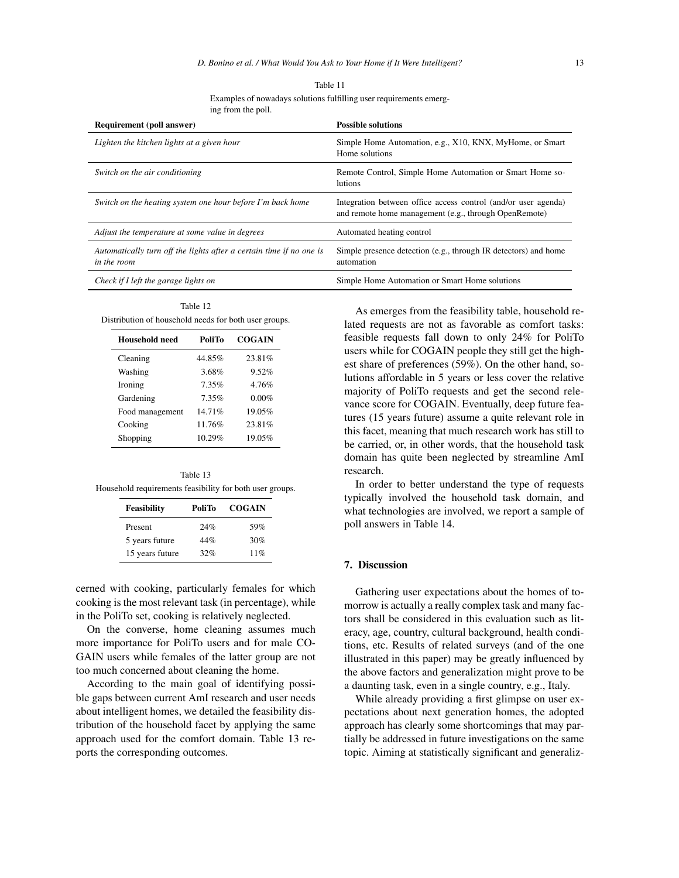| <b>Requirement (poll answer)</b>                                                   | <b>Possible solutions</b>                                                                                               |
|------------------------------------------------------------------------------------|-------------------------------------------------------------------------------------------------------------------------|
| Lighten the kitchen lights at a given hour                                         | Simple Home Automation, e.g., X10, KNX, MyHome, or Smart<br>Home solutions                                              |
| Switch on the air conditioning                                                     | Remote Control, Simple Home Automation or Smart Home so-<br><b>lutions</b>                                              |
| Switch on the heating system one hour before I'm back home                         | Integration between office access control (and/or user agenda)<br>and remote home management (e.g., through OpenRemote) |
| Adjust the temperature at some value in degrees                                    | Automated heating control                                                                                               |
| Automatically turn off the lights after a certain time if no one is<br>in the room | Simple presence detection (e.g., through IR detectors) and home<br>automation                                           |
| Check if I left the garage lights on                                               | Simple Home Automation or Smart Home solutions                                                                          |

Table 11 Examples of nowadays solutions fulfilling user requirements emerging from the poll.

Table 12 Distribution of household needs for both user groups.

| Household need  | PoliTo | <b>COGAIN</b> |
|-----------------|--------|---------------|
| Cleaning        | 44.85% | 23.81%        |
| Washing         | 3.68%  | 9.52%         |
| Ironing         | 7.35%  | 4.76%         |
| Gardening       | 7.35%  | $0.00\%$      |
| Food management | 14.71% | 19.05%        |
| Cooking         | 11.76% | 23.81%        |
| Shopping        | 10.29% | 19.05%        |

Table 13 Household requirements feasibility for both user groups.

| Feasibility     | PoliTo | <b>COGAIN</b> |
|-----------------|--------|---------------|
| Present         | 24%    | 59%           |
| 5 years future  | 44%    | 30%           |
| 15 years future | 32%    | 11%           |

cerned with cooking, particularly females for which cooking is the most relevant task (in percentage), while in the PoliTo set, cooking is relatively neglected.

On the converse, home cleaning assumes much more importance for PoliTo users and for male CO-GAIN users while females of the latter group are not too much concerned about cleaning the home.

According to the main goal of identifying possible gaps between current AmI research and user needs about intelligent homes, we detailed the feasibility distribution of the household facet by applying the same approach used for the comfort domain. Table 13 reports the corresponding outcomes.

As emerges from the feasibility table, household related requests are not as favorable as comfort tasks: feasible requests fall down to only 24% for PoliTo users while for COGAIN people they still get the highest share of preferences (59%). On the other hand, solutions affordable in 5 years or less cover the relative majority of PoliTo requests and get the second relevance score for COGAIN. Eventually, deep future features (15 years future) assume a quite relevant role in this facet, meaning that much research work has still to be carried, or, in other words, that the household task domain has quite been neglected by streamline AmI research.

In order to better understand the type of requests typically involved the household task domain, and what technologies are involved, we report a sample of poll answers in Table 14.

#### 7. Discussion

Gathering user expectations about the homes of tomorrow is actually a really complex task and many factors shall be considered in this evaluation such as literacy, age, country, cultural background, health conditions, etc. Results of related surveys (and of the one illustrated in this paper) may be greatly influenced by the above factors and generalization might prove to be a daunting task, even in a single country, e.g., Italy.

While already providing a first glimpse on user expectations about next generation homes, the adopted approach has clearly some shortcomings that may partially be addressed in future investigations on the same topic. Aiming at statistically significant and generaliz-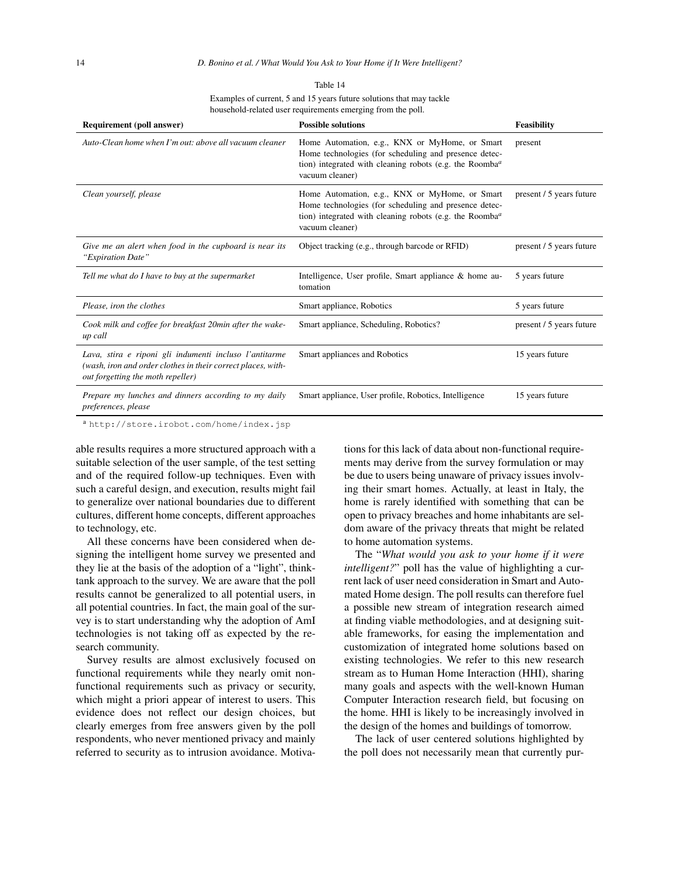| anie |  |
|------|--|
|------|--|

Examples of current, 5 and 15 years future solutions that may tackle household-related user requirements emerging from the poll.

| <b>Requirement (poll answer)</b>                                                                                                                            | <b>Possible solutions</b>                                                                                                                                                                                      | <b>Feasibility</b>       |
|-------------------------------------------------------------------------------------------------------------------------------------------------------------|----------------------------------------------------------------------------------------------------------------------------------------------------------------------------------------------------------------|--------------------------|
| Auto-Clean home when I'm out: above all vacuum cleaner                                                                                                      | Home Automation, e.g., KNX or MyHome, or Smart<br>Home technologies (for scheduling and presence detec-<br>tion) integrated with cleaning robots (e.g. the Roomba <sup><math>a</math></sup><br>vacuum cleaner) | present                  |
| Clean yourself, please                                                                                                                                      | Home Automation, e.g., KNX or MyHome, or Smart<br>Home technologies (for scheduling and presence detec-<br>tion) integrated with cleaning robots (e.g. the Roomba <sup><math>a</math></sup><br>vacuum cleaner) | present / 5 years future |
| Give me an alert when food in the cupboard is near its<br>"Expiration Date"                                                                                 | Object tracking (e.g., through barcode or RFID)                                                                                                                                                                | present / 5 years future |
| Tell me what do I have to buy at the supermarket                                                                                                            | Intelligence, User profile, Smart appliance & home au-<br>tomation                                                                                                                                             | 5 years future           |
| Please, iron the clothes                                                                                                                                    | Smart appliance, Robotics                                                                                                                                                                                      | 5 years future           |
| Cook milk and coffee for breakfast 20min after the wake-<br>up call                                                                                         | Smart appliance, Scheduling, Robotics?                                                                                                                                                                         | present / 5 years future |
| Lava, stira e riponi gli indumenti incluso l'antitarme<br>(wash, iron and order clothes in their correct places, with-<br>out forgetting the moth repeller) | Smart appliances and Robotics                                                                                                                                                                                  | 15 years future          |
| Prepare my lunches and dinners according to my daily<br>preferences, please                                                                                 | Smart appliance, User profile, Robotics, Intelligence                                                                                                                                                          | 15 years future          |

<sup>a</sup> http://store.irobot.com/home/index.jsp

able results requires a more structured approach with a suitable selection of the user sample, of the test setting and of the required follow-up techniques. Even with such a careful design, and execution, results might fail to generalize over national boundaries due to different cultures, different home concepts, different approaches to technology, etc.

All these concerns have been considered when designing the intelligent home survey we presented and they lie at the basis of the adoption of a "light", thinktank approach to the survey. We are aware that the poll results cannot be generalized to all potential users, in all potential countries. In fact, the main goal of the survey is to start understanding why the adoption of AmI technologies is not taking off as expected by the research community.

Survey results are almost exclusively focused on functional requirements while they nearly omit nonfunctional requirements such as privacy or security, which might a priori appear of interest to users. This evidence does not reflect our design choices, but clearly emerges from free answers given by the poll respondents, who never mentioned privacy and mainly referred to security as to intrusion avoidance. Motivations for this lack of data about non-functional requirements may derive from the survey formulation or may be due to users being unaware of privacy issues involving their smart homes. Actually, at least in Italy, the home is rarely identified with something that can be open to privacy breaches and home inhabitants are seldom aware of the privacy threats that might be related to home automation systems.

The "*What would you ask to your home if it were intelligent?*" poll has the value of highlighting a current lack of user need consideration in Smart and Automated Home design. The poll results can therefore fuel a possible new stream of integration research aimed at finding viable methodologies, and at designing suitable frameworks, for easing the implementation and customization of integrated home solutions based on existing technologies. We refer to this new research stream as to Human Home Interaction (HHI), sharing many goals and aspects with the well-known Human Computer Interaction research field, but focusing on the home. HHI is likely to be increasingly involved in the design of the homes and buildings of tomorrow.

The lack of user centered solutions highlighted by the poll does not necessarily mean that currently pur-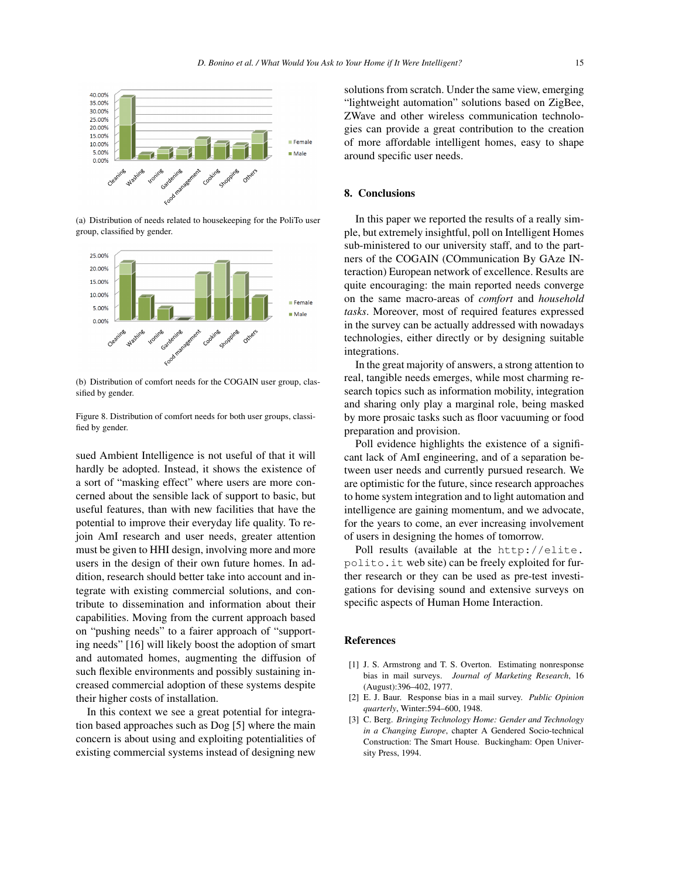

(a) Distribution of needs related to housekeeping for the PoliTo user group, classified by gender.



(b) Distribution of comfort needs for the COGAIN user group, classified by gender.

Figure 8. Distribution of comfort needs for both user groups, classified by gender.

sued Ambient Intelligence is not useful of that it will hardly be adopted. Instead, it shows the existence of a sort of "masking effect" where users are more concerned about the sensible lack of support to basic, but useful features, than with new facilities that have the potential to improve their everyday life quality. To rejoin AmI research and user needs, greater attention must be given to HHI design, involving more and more users in the design of their own future homes. In addition, research should better take into account and integrate with existing commercial solutions, and contribute to dissemination and information about their capabilities. Moving from the current approach based on "pushing needs" to a fairer approach of "supporting needs" [16] will likely boost the adoption of smart and automated homes, augmenting the diffusion of such flexible environments and possibly sustaining increased commercial adoption of these systems despite their higher costs of installation.

In this context we see a great potential for integration based approaches such as Dog [5] where the main concern is about using and exploiting potentialities of existing commercial systems instead of designing new solutions from scratch. Under the same view, emerging "lightweight automation" solutions based on ZigBee, ZWave and other wireless communication technologies can provide a great contribution to the creation of more affordable intelligent homes, easy to shape around specific user needs.

#### 8. Conclusions

In this paper we reported the results of a really simple, but extremely insightful, poll on Intelligent Homes sub-ministered to our university staff, and to the partners of the COGAIN (COmmunication By GAze INteraction) European network of excellence. Results are quite encouraging: the main reported needs converge on the same macro-areas of *comfort* and *household tasks*. Moreover, most of required features expressed in the survey can be actually addressed with nowadays technologies, either directly or by designing suitable integrations.

In the great majority of answers, a strong attention to real, tangible needs emerges, while most charming research topics such as information mobility, integration and sharing only play a marginal role, being masked by more prosaic tasks such as floor vacuuming or food preparation and provision.

Poll evidence highlights the existence of a significant lack of AmI engineering, and of a separation between user needs and currently pursued research. We are optimistic for the future, since research approaches to home system integration and to light automation and intelligence are gaining momentum, and we advocate, for the years to come, an ever increasing involvement of users in designing the homes of tomorrow.

Poll results (available at the http://elite. polito.it web site) can be freely exploited for further research or they can be used as pre-test investigations for devising sound and extensive surveys on specific aspects of Human Home Interaction.

#### References

- [1] J. S. Armstrong and T. S. Overton. Estimating nonresponse bias in mail surveys. *Journal of Marketing Research*, 16 (August):396–402, 1977.
- [2] E. J. Baur. Response bias in a mail survey. *Public Opinion quarterly*, Winter:594–600, 1948.
- [3] C. Berg. *Bringing Technology Home: Gender and Technology in a Changing Europe*, chapter A Gendered Socio-technical Construction: The Smart House. Buckingham: Open University Press, 1994.